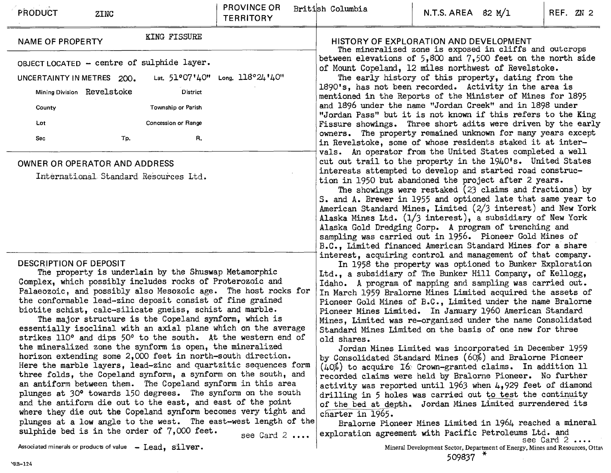| <b>PRODUCT</b><br><b>ZINC</b>                                                                                                                                                                                                                                                                                                                                                                                                                                                                                                                                                                                                                                                                                                                                                                                                                                                                                                                                                                                                                                       | PROVINCE OR<br><b>TERRITORY</b>                                                                                                                                                                                                                                                                                                                                                                                                                                                                                                                                                                                                                                                                                                                                                                                                                                                                                                                                                                                                                     | British Columbia                                                                                                                                                                                                                                                                                                                                                                                                                                                                                                                                                                                                                                                                              | N.T.S. AREA $82$ M/1 |                                                                              | REF. ZN 2           |  |  |  |
|---------------------------------------------------------------------------------------------------------------------------------------------------------------------------------------------------------------------------------------------------------------------------------------------------------------------------------------------------------------------------------------------------------------------------------------------------------------------------------------------------------------------------------------------------------------------------------------------------------------------------------------------------------------------------------------------------------------------------------------------------------------------------------------------------------------------------------------------------------------------------------------------------------------------------------------------------------------------------------------------------------------------------------------------------------------------|-----------------------------------------------------------------------------------------------------------------------------------------------------------------------------------------------------------------------------------------------------------------------------------------------------------------------------------------------------------------------------------------------------------------------------------------------------------------------------------------------------------------------------------------------------------------------------------------------------------------------------------------------------------------------------------------------------------------------------------------------------------------------------------------------------------------------------------------------------------------------------------------------------------------------------------------------------------------------------------------------------------------------------------------------------|-----------------------------------------------------------------------------------------------------------------------------------------------------------------------------------------------------------------------------------------------------------------------------------------------------------------------------------------------------------------------------------------------------------------------------------------------------------------------------------------------------------------------------------------------------------------------------------------------------------------------------------------------------------------------------------------------|----------------------|------------------------------------------------------------------------------|---------------------|--|--|--|
| KING FISSURE<br><b>NAME OF PROPERTY</b>                                                                                                                                                                                                                                                                                                                                                                                                                                                                                                                                                                                                                                                                                                                                                                                                                                                                                                                                                                                                                             |                                                                                                                                                                                                                                                                                                                                                                                                                                                                                                                                                                                                                                                                                                                                                                                                                                                                                                                                                                                                                                                     | HISTORY OF EXPLORATION AND DEVELOPMENT<br>The mineralized zone is exposed in cliffs and outcrops                                                                                                                                                                                                                                                                                                                                                                                                                                                                                                                                                                                              |                      |                                                                              |                     |  |  |  |
| OBJECT LOCATED - centre of sulphide layer.<br>UNCERTAINTY IN METRES 200.<br>Mining Division Revelstoke<br>District<br>Township or Parish<br>County<br>Concession or Range<br>Lot<br>R.<br>Sec.<br>Tp.                                                                                                                                                                                                                                                                                                                                                                                                                                                                                                                                                                                                                                                                                                                                                                                                                                                               | Lat. 51°07'40" Long. 118°24'40"                                                                                                                                                                                                                                                                                                                                                                                                                                                                                                                                                                                                                                                                                                                                                                                                                                                                                                                                                                                                                     | between elevations of $5,800$ and $7,500$ feet on the north side<br>of Mount Copeland, 12 miles northwest of Revelstoke.<br>The early history of this property, dating from the<br>1890's, has not been recorded. Activity in the area is<br>mentioned in the Reports of the Minister of Mines for 1895<br>and 1896 under the name "Jordan Creek" and in 1898 under<br>"Jordan Pass" but it is not known if this refers to the King<br>Fissure showings. Three short adits were driven by the early<br>owners. The property remained unknown for many years except<br>in Revelstoke, some of whose residents staked it at inter-<br>vals. An operator from the United States completed a well |                      |                                                                              |                     |  |  |  |
| <b>OWNER OR OPERATOR AND ADDRESS</b><br>International Standard Resources Ltd.                                                                                                                                                                                                                                                                                                                                                                                                                                                                                                                                                                                                                                                                                                                                                                                                                                                                                                                                                                                       |                                                                                                                                                                                                                                                                                                                                                                                                                                                                                                                                                                                                                                                                                                                                                                                                                                                                                                                                                                                                                                                     | cut out trail to the property in the 1940's. United States<br>interests attempted to develop and started road construc-<br>tion in 1950 but abandoned the project after 2 years.<br>The showings were restaked (23 claims and fractions) by<br>S. and A. Brewer in 1955 and optioned late that same year to<br>American Standard Mines, Limited (2/3 interest) and New York<br>Alaska Mines Ltd. $(1/3$ interest), a subsidiary of New York<br>Alaska Gold Dredging Corp. A program of trenching and<br>sampling was carried out in 1956. Pioneer Gold Mines of<br>B.C., Limited financed American Standard Mines for a share                                                                 |                      |                                                                              |                     |  |  |  |
| DESCRIPTION OF DEPOSIT<br>The property is underlain by the Shuswap Metamorphic<br>Complex, which possibly includes rocks of Proterozoic and<br>Palaeozoic, and possibly also Mesozoic age. The host rocks for<br>the conformable lead-zinc deposit consist of fine grained<br>biotite schist, calc-silicate gneiss, schist and marble.<br>The major structure is the Copeland synform, which is<br>essentially isoclinal with an axial plane which on the average<br>strikes 110° and dips 50° to the south. At the western end of<br>the mineralized zone the synform is open, the mineralized<br>horizon extending some 2,000 feet in north-south direction.<br>Here the marble layers, lead-zinc and quartzitic sequences form<br>three folds, the Copeland synform, a synform on the south, and<br>an antiform between them. The Copeland synform in this area<br>plunges at 30° towards 150 degrees. The synform on the south<br>and the antiform die out to the east, and east of the point<br>where they die out the Copeland synform becomes very tight and | interest, acquiring control and management of that company.<br>In 1958 the property was optioned to Bunker Exploration<br>Itd., a subsidiary of The Bunker Hill Company, of Kellogg,<br>Idaho. A program of mapping and sampling was carried out.<br>In March 1959 Bralorne Mines Limited acquired the assets of<br>Pioneer Gold Mines of B.C., Limited under the name Bralorne<br>Pioneer Mines Limited. In January 1960 American Standard<br>Mines, Limited was re-organized under the name Consolidated<br>Standard Mines Limited on the basis of one new for three<br>old shares.<br>Jordan Mines Limited was incorporated in December 1959<br>by Consolidated Standard Mines (60%) and Bralorne Pioneer<br>(40%) to acquire 16 Crown-granted claims. In addition 11<br>recorded claims were held by Bralorne Pioneer. No further<br>activity was reported until 1963 when 4,929 feet of diamond<br>drilling in 5 holes was carried out to test the continuity<br>of the bed at depth. Jordan Mines Limited surrendered its<br>charter in 1965. |                                                                                                                                                                                                                                                                                                                                                                                                                                                                                                                                                                                                                                                                                               |                      |                                                                              |                     |  |  |  |
| plunges at a low angle to the west. The east-west length of the<br>sulphide bed is in the order of 7,000 feet.                                                                                                                                                                                                                                                                                                                                                                                                                                                                                                                                                                                                                                                                                                                                                                                                                                                                                                                                                      | see Card $2 \ldots$                                                                                                                                                                                                                                                                                                                                                                                                                                                                                                                                                                                                                                                                                                                                                                                                                                                                                                                                                                                                                                 | Bralorne Pioneer Mines Limited in 1964 reached a mineral<br>exploration agreement with Pacific Petroleums Ltd. and                                                                                                                                                                                                                                                                                                                                                                                                                                                                                                                                                                            |                      |                                                                              | see Card $2 \ldots$ |  |  |  |
| Associated minerals or products of value - Lead, silver.                                                                                                                                                                                                                                                                                                                                                                                                                                                                                                                                                                                                                                                                                                                                                                                                                                                                                                                                                                                                            |                                                                                                                                                                                                                                                                                                                                                                                                                                                                                                                                                                                                                                                                                                                                                                                                                                                                                                                                                                                                                                                     |                                                                                                                                                                                                                                                                                                                                                                                                                                                                                                                                                                                                                                                                                               | $509837$ *           | Mineral Development Sector, Department of Energy, Mines and Resources, Ottav |                     |  |  |  |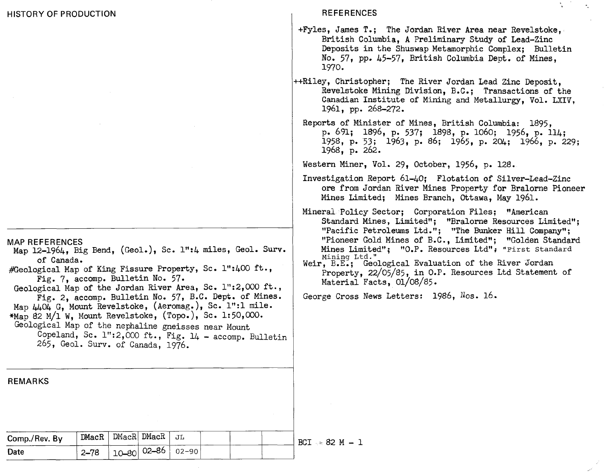**REFERENCES** 

+Fyles, James T.; The Jordan River Area near Revelstoke, British Columbia, **A** Preliminary Study of Lead-Zinc Deposits in the Shuswap Metamorphic Complex; Bulletin No. 57, pp. 45-57, British Columbia Dept. of Mines. 1970

 $\mathcal{F}_{\mathcal{L}}$ 

- +Riley, Christopher; The River Jordan Lead Zinc Deposit, Revelstoke Mining Division, B.C.; Transactions of the Canadian Institute of Wining and Metallurgy, Vol. LXIV, 1961, pp. 268-272.
	- Reports of Minister of Mines, British Columbia: 1895, **p.** 691; 1896, p. 537; 1898, p. 1060; 1956, p- 114; 1958, p. 53; 1963, p. 86; **1965,** p. 204; 1966, **P-** 229; 1968, p. 262.

Mestern Miner, Vol. 29, October, 1956, p. 128.

- Investigation Report 61-40; Flotation of Silver-Lead-Zinc ore from Jordan River Mines Property for Bralorne Pioneer Mines Limited; Mines Branch, Ottawa, May 1961.
- Minerai Policy Sector; Corporation Files; "American Standard Mines, Limited"; "Bralorne Resources Limited"; "Pacific Petroleums Ltd."; "The Bunker Hill Company"; "Pioneer Gold Mines of B.C., Limited"; "Golden Standard<br>Mines Limited"; "O.P. Resources Ltd"; "First Standard **~ining Ltd. I'**
- Weir, B.E.; Geological Evaluation of the River Jordan Property, 22/05/85, in O.P. Resources Ltd Statement of Material Facts, 01/08/85.

George Cross Mews Letters: 1986, Nos. 16.

**MAP REFERENCES** 

- Map 12-1964, Big Bend, (Geol.), Sc. 1":4 miles, Geol. Surv. of Canada.
- #Geological Map of King Fissure Property, Sc. 1":400 ft., Fig. 7, accomp. Bulletin No. 57.
- Geological Map of the Jordan River Area, Sc. 1":2,000 ft., Fig. 2, accomp. Bulletin No. **57,** B.C. Dept. of Mines.
- Map  $4404$  G, Mount Revelstoke, (Aeromag.), Sc. 1":1 mile.
- \*Map 82 M/1 W, Mount Revelstoke, (Topo.), Sc. 1:50,000.
- Geological Map of the nephaline gneisses near Mount
	- Copeland, Sc.  $1"32,000$  ft., Fig.  $14 \text{accomp. Bulletin}$ 265, Geol. Surv. of Canada, 1976.

**REMARKS**   $\mathtt{DMacR}|\mathtt{DMacR}|$ 10–80 02–86 **Comp./Rev. Date JL**  02-90 DMacR 2-78

 $BCI = 82 M - 1$